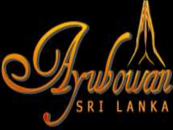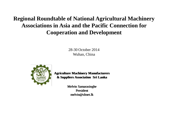#### **Regional Roundtable of National Agricultural Machinery Associations in Asia and the Pacific Connection for Cooperation and Development**

28-30 October 2014 Wuhan, China



**Agriculture Machinery Manufacturers Agriculture Machinery Manufacturers & Suppliers Association Sri Lanka & Suppliers Association Sri Lanka**

> Melvin Samarasinghe Melvin Samarasinghe President melvin@sltnet.lk Presidentmelvin@sltnet.lk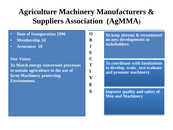#### **Agriculture Machinery Manufacturers & Suppliers Association (AgMMA)**

**O**

**B**

- **Date of Inauguration 1990**
- **Membership 24**
- **Associates 18**

#### **Our Vision**:

**To Match energy conversion processes to sustain agriculture in the use of farm Machinery protecting Environment.**

**J E C T I V E S**

**To keep abreast & recommend on new developments to stakeholders**

**To coordinate with Institutions to develop, train , test evaluate and promote machinery**

**Improve quality and safety of Men and Machinery**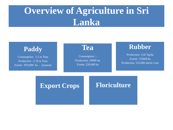#### **Overview of Agriculture in Sri Lanka**



#### **Export Crops Floriculture**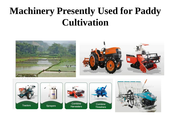### **Machinery Presently Used for Paddy Cultivation**

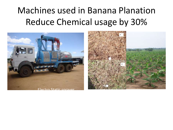#### Machines used in Banana Planation Reduce Chemical usage by 30%

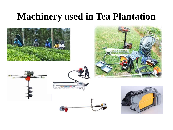#### **Machinery used in Tea Plantation**

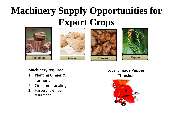# **Machinery Supply Opportunities for Export Crops**









#### **Machinery required**

- 1. Planting Ginger & Turmeric
- 2. Cinnamon pealing
- 3. Harvesting Ginger &Turmeric

**Locally made Pepper Thresher** 

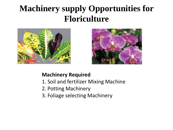#### **Machinery supply Opportunities for Floriculture**





#### **Machinery Required**

- 1. Soil and fertilizer Mixing Machine
- 2. Potting Machinery
- 3. Foliage selecting Machinery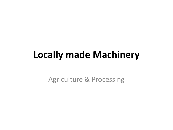### **Locally made Machinery**

Agriculture & Processing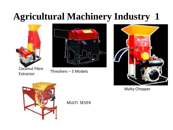# **Agricultural Machinery Industry 1**



Coconut Fibre



Extractor Threshers – 5 Models



Malty Chopper



MULTI SEVER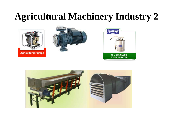### **Agricultural Machinery Industry 2**





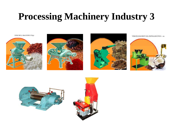### **Processing Machinery Industry 3**

DISK MILL MACHINE UD37







VIRGIN COCONUT OIL EXPELLOR UVCO - 01





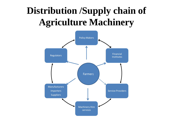# **Distribution /Supply chain of Agriculture Machinery**

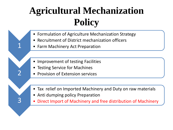# **Agricultural Mechanization Policy**

- Formulation of Agriculture Mechanization Strategy
- Recruitment of District mechanization officers
- Farm Machinery Act Preparation

1

2

3

- Improvement of testing Facilities
- **Testing Service for Machines**
- Provision of Extension services
- Tax relief on Imported Machinery and Duty on raw materials
- Anti dumping policy Preparation
- Direct Import of Machinery and free distribution of Machinery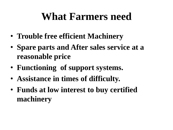# **What Farmers need**

- **Trouble free efficient Machinery**
- **Spare parts and After sales service at a reasonable price**
- **Functioning of support systems.**
- **Assistance in times of difficulty.**
- **Funds at low interest to buy certified machinery**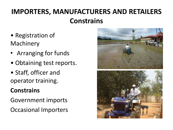#### **IMPORTERS, MANUFACTURERS AND RETAILERS Constrains**

- Registration of Machinery
- Arranging for funds
- Obtaining test reports.
- Staff, officer and operator training.

#### **Constrains**

- Government imports
- Occasional Importers

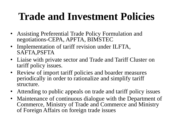# **Trade and Investment Policies**

- Assisting Preferential Trade Policy Formulation and negotiations-CEPA, APFTA, BIMSTEC
- Implementation of tariff revision under ILFTA, SAFTA,PSFTA
- Liaise with private sector and Trade and Tariff Cluster on tariff policy issues.
- Review of import tariff policies and boarder measures periodically in order to rationalize and simplify tariff structure.
- Attending to public appeals on trade and tariff policy issues
- Maintenance of continuous dialogue with the Department of Commerce, Ministry of Trade and Commerce and Ministry of Foreign Affairs on foreign trade issues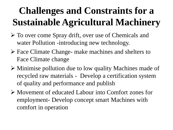# **Challenges and Constraints for a Sustainable Agricultural Machinery**

- To over come Spray drift, over use of Chemicals and water Pollution -introducing new technology.
- Face Climate Change- make machines and shelters to Face Climate change
- Minimise pollution due to low quality Machines made of recycled raw materials - Develop a certification system of quality and performance and publish
- Movement of educated Labour into Comfort zones for employment- Develop concept smart Machines with comfort in operation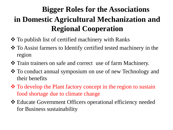#### **Bigger Roles for the Associations in Domestic Agricultural Mechanization and Regional Cooperation**

- **❖** To publish list of certified machinery with Ranks
- To Assist farmers to Identify certified tested machinery in the region
- Train trainers on safe and correct use of farm Machinery.
- To conduct annual symposium on use of new Technology and their benefits
- $\triangle$  To develop the Plant factory concept in the region to sustain food shortage due to climate change
- Educate Government Officers operational efficiency needed for Business sustainability